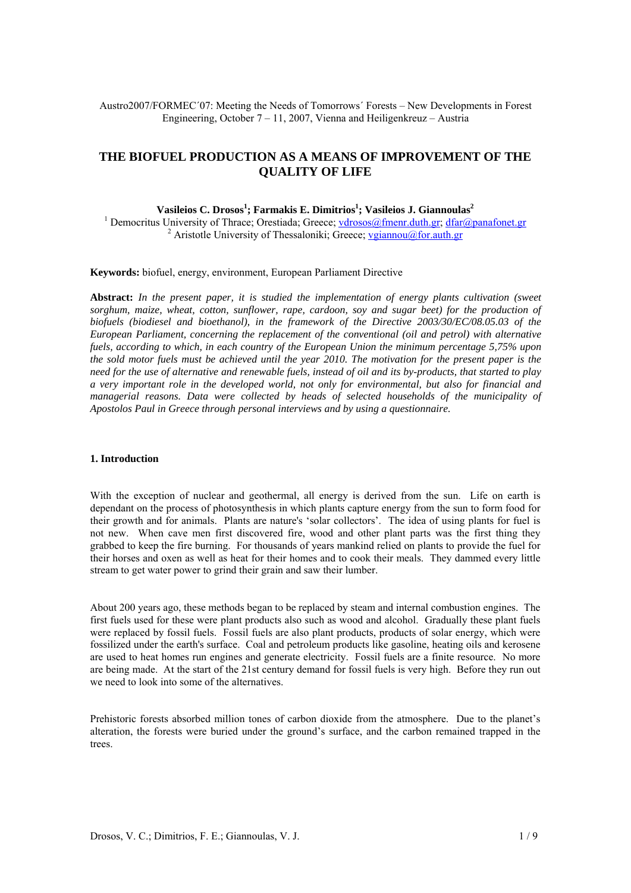Austro2007/FORMEC´07: Meeting the Needs of Tomorrows´ Forests – New Developments in Forest Engineering, October 7 – 11, 2007, Vienna and Heiligenkreuz – Austria

# **THE BIOFUEL PRODUCTION AS A MEANS OF IMPROVEMENT OF THE QUALITY OF LIFE**

# $\mathbf{V}$ asileios C. Drosos<sup>1</sup>; Farmakis E. Dimitrios<sup>1</sup>; Vasileios J. Giannoulas<sup>2</sup>

<sup>1</sup> Democritus University of Thrace; Orestiada; Greece; [vdrosos@fmenr.duth.gr](mailto:vdrosos@fmenr.duth.gr); [dfar@panafonet.gr](mailto:dfar@panafonet.gr) <sup>2</sup> Aristotle University of Thessaloniki; Greece; [vgiannou@for.auth.gr](mailto:vgiannou@for.auth.gr)

#### **Keywords:** biofuel, energy, environment, European Parliament Directive

**Abstract:** *In the present paper, it is studied the implementation of energy plants cultivation (sweet sorghum, maize, wheat, cotton, sunflower, rape, cardoon, soy and sugar beet) for the production of biofuels (biodiesel and bioethanol), in the framework of the Directive 2003/30/EC/08.05.03 of the European Parliament, concerning the replacement of the conventional (oil and petrol) with alternative fuels, according to which, in each country of the European Union the minimum percentage 5,75% upon the sold motor fuels must be achieved until the year 2010. The motivation for the present paper is the need for the use of alternative and renewable fuels, instead of oil and its by-products, that started to play a very important role in the developed world, not only for environmental, but also for financial and managerial reasons. Data were collected by heads of selected households of the municipality of Apostolos Paul in Greece through personal interviews and by using a questionnaire.* 

## **1. Introduction**

With the exception of nuclear and geothermal, all energy is derived from the sun. Life on earth is dependant on the process of photosynthesis in which plants capture energy from the sun to form food for their growth and for animals. Plants are nature's 'solar collectors'. The idea of using plants for fuel is not new. When cave men first discovered fire, wood and other plant parts was the first thing they grabbed to keep the fire burning. For thousands of years mankind relied on plants to provide the fuel for their horses and oxen as well as heat for their homes and to cook their meals. They dammed every little stream to get water power to grind their grain and saw their lumber.

About 200 years ago, these methods began to be replaced by steam and internal combustion engines. The first fuels used for these were plant products also such as wood and alcohol. Gradually these plant fuels were replaced by fossil fuels. Fossil fuels are also plant products, products of solar energy, which were fossilized under the earth's surface. Coal and petroleum products like gasoline, heating oils and kerosene are used to heat homes run engines and generate electricity. Fossil fuels are a finite resource. No more are being made. At the start of the 21st century demand for fossil fuels is very high. Before they run out we need to look into some of the alternatives.

Prehistoric forests absorbed million tones of carbon dioxide from the atmosphere. Due to the planet's alteration, the forests were buried under the ground's surface, and the carbon remained trapped in the trees.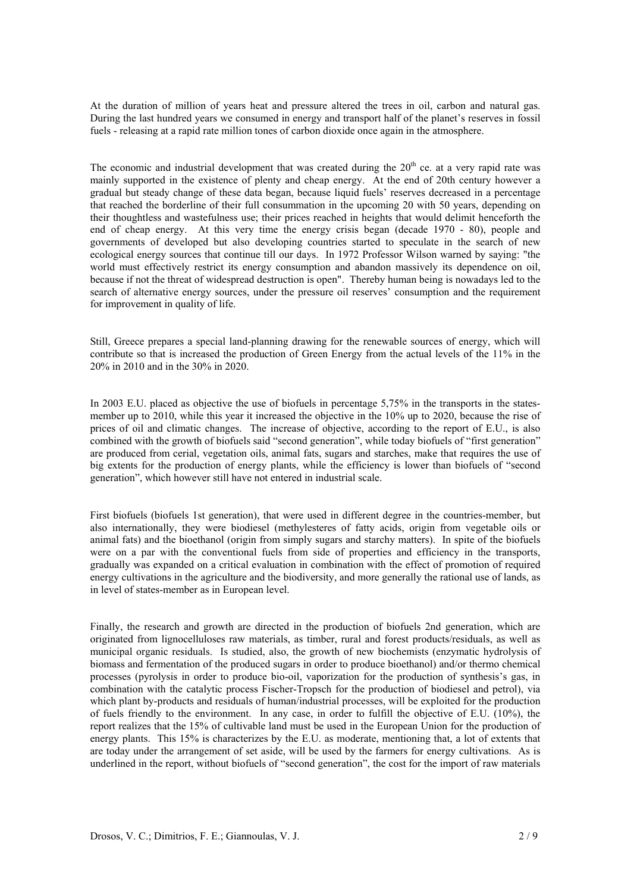At the duration of million of years heat and pressure altered the trees in oil, carbon and natural gas. During the last hundred years we consumed in energy and transport half of the planet's reserves in fossil fuels - releasing at a rapid rate million tones of carbon dioxide once again in the atmosphere.

The economic and industrial development that was created during the  $20<sup>th</sup>$  ce. at a very rapid rate was mainly supported in the existence of plenty and cheap energy. At the end of 20th century however a gradual but steady change of these data began, because liquid fuels' reserves decreased in a percentage that reached the borderline of their full consummation in the upcoming 20 with 50 years, depending on their thoughtless and wastefulness use; their prices reached in heights that would delimit henceforth the end of cheap energy. At this very time the energy crisis began (decade 1970 - 80), people and governments of developed but also developing countries started to speculate in the search of new ecological energy sources that continue till our days. In 1972 Professor Wilson warned by saying: "the world must effectively restrict its energy consumption and abandon massively its dependence on oil, because if not the threat of widespread destruction is open". Thereby human being is nowadays led to the search of alternative energy sources, under the pressure oil reserves' consumption and the requirement for improvement in quality of life.

Still, Greece prepares a special land-planning drawing for the renewable sources of energy, which will contribute so that is increased the production of Green Energy from the actual levels of the 11% in the 20% in 2010 and in the 30% in 2020.

In 2003 E.U. placed as objective the use of biofuels in percentage 5,75% in the transports in the statesmember up to 2010, while this year it increased the objective in the 10% up to 2020, because the rise of prices of oil and climatic changes. The increase of objective, according to the report of E.U., is also combined with the growth of biofuels said "second generation", while today biofuels of "first generation" are produced from cerial, vegetation oils, animal fats, sugars and starches, make that requires the use of big extents for the production of energy plants, while the efficiency is lower than biofuels of "second generation", which however still have not entered in industrial scale.

First biofuels (biofuels 1st generation), that were used in different degree in the countries-member, but also internationally, they were biodiesel (methylesteres of fatty acids, origin from vegetable oils or animal fats) and the bioethanol (origin from simply sugars and starchy matters). In spite of the biofuels were on a par with the conventional fuels from side of properties and efficiency in the transports, gradually was expanded on a critical evaluation in combination with the effect of promotion of required energy cultivations in the agriculture and the biodiversity, and more generally the rational use of lands, as in level of states-member as in European level.

Finally, the research and growth are directed in the production of biofuels 2nd generation, which are originated from lignocelluloses raw materials, as timber, rural and forest products/residuals, as well as municipal organic residuals. Is studied, also, the growth of new biochemists (enzymatic hydrolysis of biomass and fermentation of the produced sugars in order to produce bioethanol) and/or thermo chemical processes (pyrolysis in order to produce bio-oil, vaporization for the production of synthesis's gas, in combination with the catalytic process Fischer-Tropsch for the production of biodiesel and petrol), via which plant by-products and residuals of human/industrial processes, will be exploited for the production of fuels friendly to the environment. In any case, in order to fulfill the objective of E.U. (10%), the report realizes that the 15% of cultivable land must be used in the European Union for the production of energy plants. This 15% is characterizes by the E.U. as moderate, mentioning that, a lot of extents that are today under the arrangement of set aside, will be used by the farmers for energy cultivations. As is underlined in the report, without biofuels of "second generation", the cost for the import of raw materials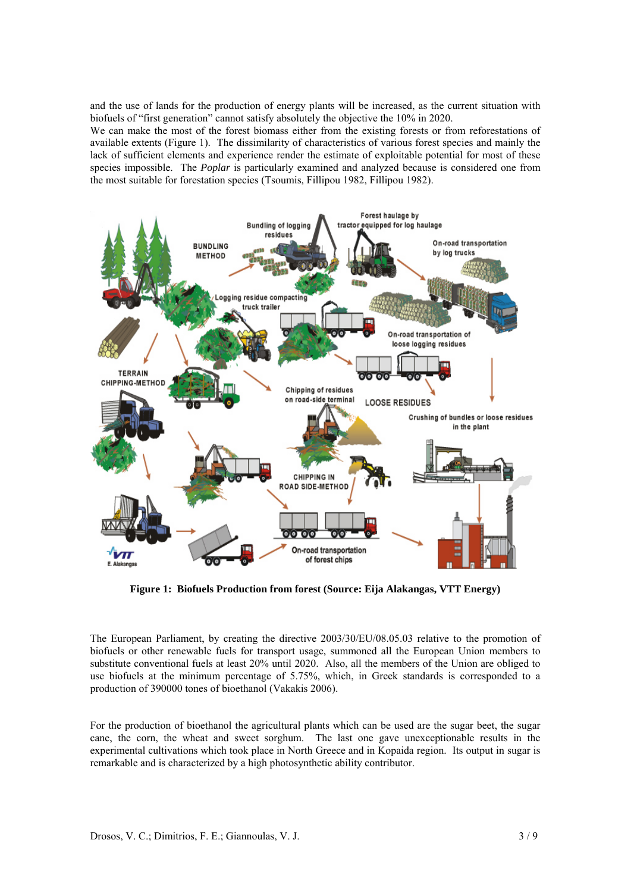and the use of lands for the production of energy plants will be increased, as the current situation with biofuels of "first generation" cannot satisfy absolutely the objective the 10% in 2020.

We can make the most of the forest biomass either from the existing forests or from reforestations of available extents (Figure 1). The dissimilarity of characteristics of various forest species and mainly the lack of sufficient elements and experience render the estimate of exploitable potential for most of these species impossible. The *Poplar* is particularly examined and analyzed because is considered one from the most suitable for forestation species (Tsoumis, Fillipou 1982, Fillipou 1982).



**Figure 1: Biofuels Production from forest (Source: Eija Alakangas, VTT Energy)** 

The European Parliament, by creating the directive 2003/30/EU/08.05.03 relative to the promotion of biofuels or other renewable fuels for transport usage, summoned all the European Union members to substitute conventional fuels at least 20% until 2020. Also, all the members of the Union are obliged to use biofuels at the minimum percentage of 5.75%, which, in Greek standards is corresponded to a production of 390000 tones of bioethanol (Vakakis 2006).

For the production of bioethanol the agricultural plants which can be used are the sugar beet, the sugar cane, the corn, the wheat and sweet sorghum. The last one gave unexceptionable results in the experimental cultivations which took place in North Greece and in Kopaida region. Its output in sugar is remarkable and is characterized by a high photosynthetic ability contributor.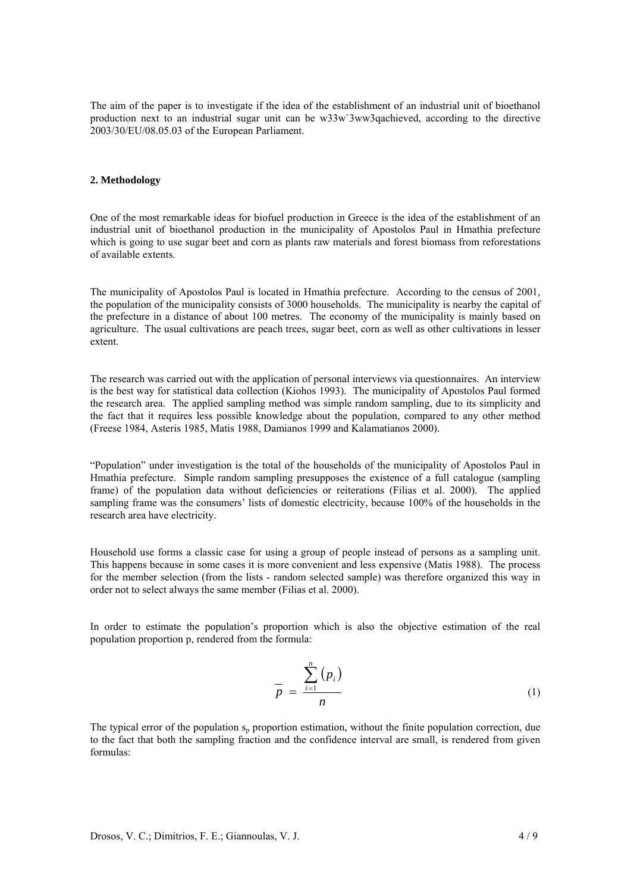The aim of the paper is to investigate if the idea of the establishment of an industrial unit of bioethanol production next to an industrial sugar unit can be w33w`3ww3qachieved, according to the directive 2003/30/EU/08.05.03 of the European Parliament.

#### **2. Methodology**

One of the most remarkable ideas for biofuel production in Greece is the idea of the establishment of an industrial unit of bioethanol production in the municipality of Apostolos Paul in Hmathia prefecture which is going to use sugar beet and corn as plants raw materials and forest biomass from reforestations of available extents.

The municipality of Apostolos Paul is located in Hmathia prefecture. According to the census of 2001, the population of the municipality consists of 3000 households. The municipality is nearby the capital of the prefecture in a distance of about 100 metres. The economy of the municipality is mainly based on agriculture. The usual cultivations are peach trees, sugar beet, corn as well as other cultivations in lesser extent.

The research was carried out with the application of personal interviews via questionnaires. An interview is the best way for statistical data collection (Kiohos 1993). The municipality of Apostolos Paul formed the research area. The applied sampling method was simple random sampling, due to its simplicity and the fact that it requires less possible knowledge about the population, compared to any other method (Freese 1984, Asteris 1985, Matis 1988, Damianos 1999 and Kalamatianos 2000).

"Population" under investigation is the total of the households of the municipality of Apostolos Paul in Hmathia prefecture. Simple random sampling presupposes the existence of a full catalogue (sampling frame) of the population data without deficiencies or reiterations (Filias et al. 2000). The applied sampling frame was the consumers' lists of domestic electricity, because 100% of the households in the research area have electricity.

Household use forms a classic case for using a group of people instead of persons as a sampling unit. This happens because in some cases it is more convenient and less expensive (Matis 1988). The process for the member selection (from the lists - random selected sample) was therefore organized this way in order not to select always the same member (Filias et al. 2000).

In order to estimate the population's proportion which is also the objective estimation of the real population proportion p, rendered from the formula:

$$
\overline{p} = \frac{\sum_{i=1}^{n} (p_i)}{n} \tag{1}
$$

The typical error of the population  $s_n$  proportion estimation, without the finite population correction, due to the fact that both the sampling fraction and the confidence interval are small, is rendered from given formulas: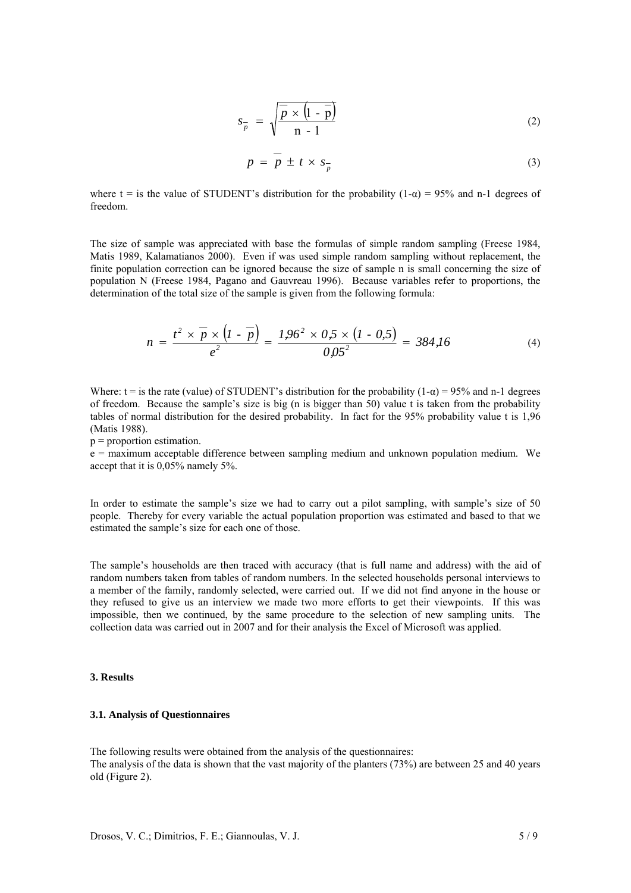$$
s_{\overline{p}} = \sqrt{\frac{\overline{p} \times (1 - \overline{p})}{n - 1}}
$$
 (2)

$$
p = \overline{p} \pm t \times s_{\overline{p}} \tag{3}
$$

where t = is the value of STUDENT's distribution for the probability  $(1-\alpha) = 95\%$  and n-1 degrees of freedom.

The size of sample was appreciated with base the formulas of simple random sampling (Freese 1984, Matis 1989, Kalamatianos 2000). Even if was used simple random sampling without replacement, the finite population correction can be ignored because the size of sample n is small concerning the size of population N (Freese 1984, Pagano and Gauvreau 1996). Because variables refer to proportions, the determination of the total size of the sample is given from the following formula:

$$
n = \frac{t^2 \times \overline{p} \times (1 - \overline{p})}{e^2} = \frac{1.96^2 \times 0.5 \times (1 - 0.5)}{0.05^2} = 384.16
$$
 (4)

Where:  $t =$  is the rate (value) of STUDENT's distribution for the probability (1- $\alpha$ ) = 95% and n-1 degrees of freedom. Because the sample's size is big (n is bigger than 50) value t is taken from the probability tables of normal distribution for the desired probability. In fact for the 95% probability value t is 1,96 (Matis 1988).

 $p =$  proportion estimation.

e = maximum acceptable difference between sampling medium and unknown population medium. We accept that it is 0,05% namely 5%.

In order to estimate the sample's size we had to carry out a pilot sampling, with sample's size of 50 people. Thereby for every variable the actual population proportion was estimated and based to that we estimated the sample's size for each one of those.

The sample's households are then traced with accuracy (that is full name and address) with the aid of random numbers taken from tables of random numbers. In the selected households personal interviews to a member of the family, randomly selected, were carried out. If we did not find anyone in the house or they refused to give us an interview we made two more efforts to get their viewpoints. If this was impossible, then we continued, by the same procedure to the selection of new sampling units. The collection data was carried out in 2007 and for their analysis the Excel of Microsoft was applied.

## **3. Results**

## **3.1. Analysis of Questionnaires**

The following results were obtained from the analysis of the questionnaires: The analysis of the data is shown that the vast majority of the planters (73%) are between 25 and 40 years old (Figure 2).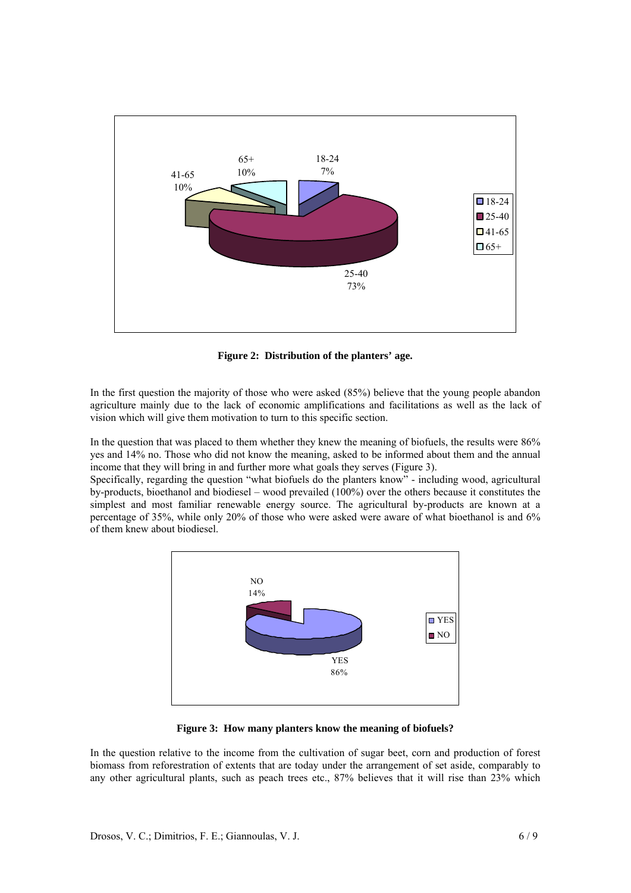

**Figure 2: Distribution of the planters' age.** 

In the first question the majority of those who were asked (85%) believe that the young people abandon agriculture mainly due to the lack of economic amplifications and facilitations as well as the lack of vision which will give them motivation to turn to this specific section.

In the question that was placed to them whether they knew the meaning of biofuels, the results were 86% yes and 14% no. Those who did not know the meaning, asked to be informed about them and the annual income that they will bring in and further more what goals they serves (Figure 3).

Specifically, regarding the question "what biofuels do the planters know" - including wood, agricultural by-products, bioethanol and biodiesel – wood prevailed (100%) over the others because it constitutes the simplest and most familiar renewable energy source. The agricultural by-products are known at a percentage of 35%, while only 20% of those who were asked were aware of what bioethanol is and 6% of them knew about biodiesel.



**Figure 3: How many planters know the meaning of biofuels?** 

In the question relative to the income from the cultivation of sugar beet, corn and production of forest biomass from reforestration of extents that are today under the arrangement of set aside, comparably to any other agricultural plants, such as peach trees etc., 87% believes that it will rise than 23% which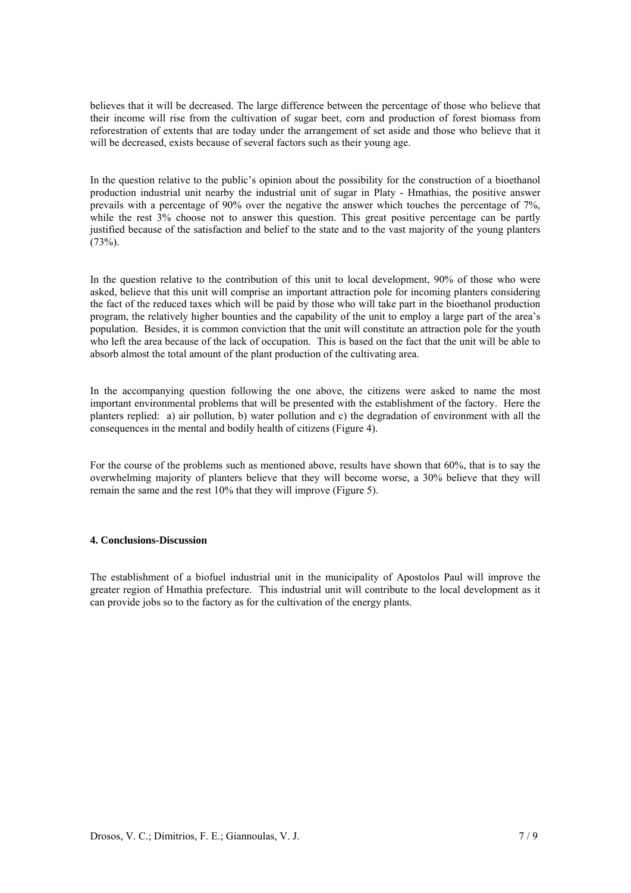believes that it will be decreased. The large difference between the percentage of those who believe that their income will rise from the cultivation of sugar beet, corn and production of forest biomass from reforestration of extents that are today under the arrangement of set aside and those who believe that it will be decreased, exists because of several factors such as their young age.

In the question relative to the public's opinion about the possibility for the construction of a bioethanol production industrial unit nearby the industrial unit of sugar in Platy - Hmathias, the positive answer prevails with a percentage of 90% over the negative the answer which touches the percentage of 7%, while the rest 3% choose not to answer this question. This great positive percentage can be partly justified because of the satisfaction and belief to the state and to the vast majority of the young planters  $(73%)$ .

In the question relative to the contribution of this unit to local development, 90% of those who were asked, believe that this unit will comprise an important attraction pole for incoming planters considering the fact of the reduced taxes which will be paid by those who will take part in the bioethanol production program, the relatively higher bounties and the capability of the unit to employ a large part of the area's population. Besides, it is common conviction that the unit will constitute an attraction pole for the youth who left the area because of the lack of occupation. This is based on the fact that the unit will be able to absorb almost the total amount of the plant production of the cultivating area.

In the accompanying question following the one above, the citizens were asked to name the most important environmental problems that will be presented with the establishment of the factory. Here the planters replied: a) air pollution, b) water pollution and c) the degradation of environment with all the consequences in the mental and bodily health of citizens (Figure 4).

For the course of the problems such as mentioned above, results have shown that 60%, that is to say the overwhelming majority of planters believe that they will become worse, a 30% believe that they will remain the same and the rest 10% that they will improve (Figure 5).

## **4. Conclusions-Discussion**

The establishment of a biofuel industrial unit in the municipality of Apostolos Paul will improve the greater region of Hmathia prefecture. This industrial unit will contribute to the local development as it can provide jobs so to the factory as for the cultivation of the energy plants.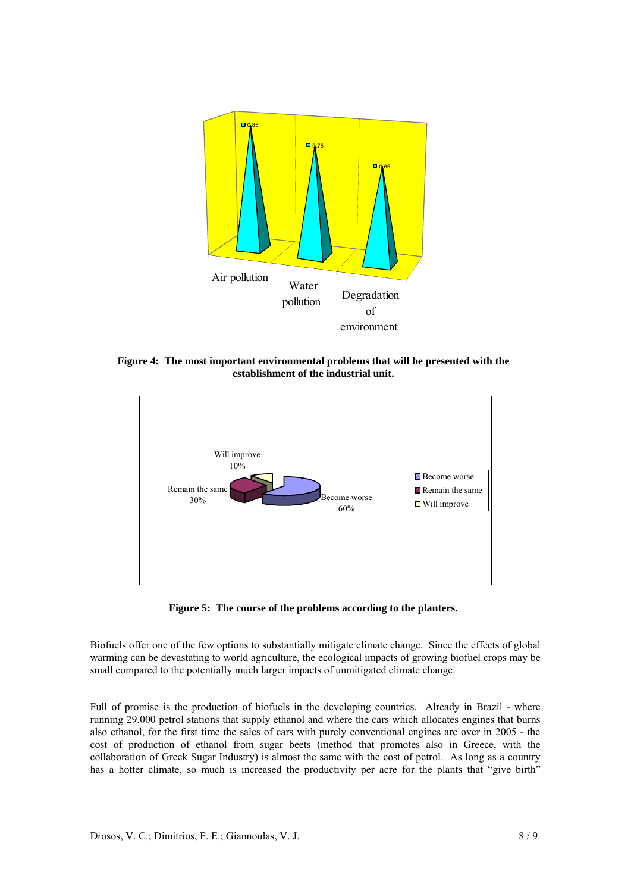

**Figure 4: The most important environmental problems that will be presented with the establishment of the industrial unit.** 



**Figure 5: The course of the problems according to the planters.** 

Biofuels offer one of the few options to substantially mitigate climate change. Since the effects of [global](http://www.answers.com/topic/global-warming)  [warming](http://www.answers.com/topic/global-warming) can be devastating to world agriculture, the ecological impacts of growing biofuel crops may be small compared to the potentially much larger impacts of unmitigated climate change.

Full of promise is the production of biofuels in the developing countries. Already in Brazil - where running 29.000 petrol stations that supply ethanol and where the cars which allocates engines that burns also ethanol, for the first time the sales of cars with purely conventional engines are over in 2005 - the cost of production of ethanol from sugar beets (method that promotes also in Greece, with the collaboration of Greek Sugar Industry) is almost the same with the cost of petrol. As long as a country has a hotter climate, so much is increased the productivity per acre for the plants that "give birth"